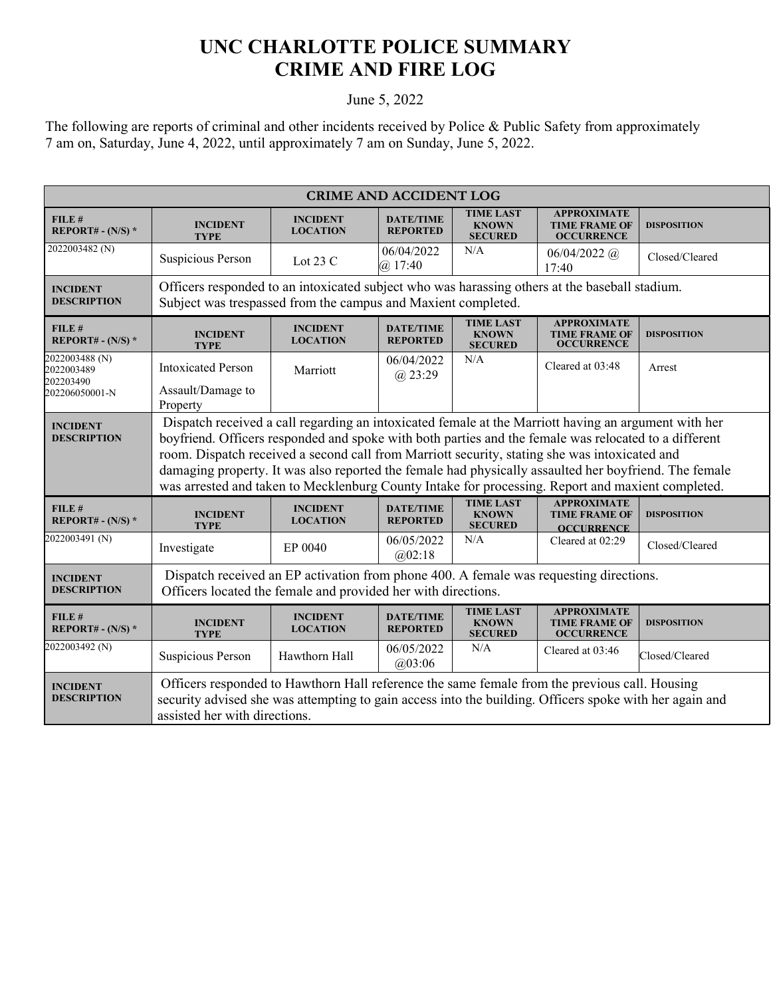## **UNC CHARLOTTE POLICE SUMMARY CRIME AND FIRE LOG**

## June 5, 2022

The following are reports of criminal and other incidents received by Police & Public Safety from approximately 7 am on, Saturday, June 4, 2022, until approximately 7 am on Sunday, June 5, 2022.

| <b>CRIME AND ACCIDENT LOG</b>                               |                                                                                                                                                                                                                                                                                                                                                                                                                                                                                                                              |                                    |                                     |                                                    |                                                                 |                    |  |
|-------------------------------------------------------------|------------------------------------------------------------------------------------------------------------------------------------------------------------------------------------------------------------------------------------------------------------------------------------------------------------------------------------------------------------------------------------------------------------------------------------------------------------------------------------------------------------------------------|------------------------------------|-------------------------------------|----------------------------------------------------|-----------------------------------------------------------------|--------------------|--|
| FILE #<br>REPORT# - $(N/S)$ *                               | <b>INCIDENT</b><br><b>TYPE</b>                                                                                                                                                                                                                                                                                                                                                                                                                                                                                               | <b>INCIDENT</b><br><b>LOCATION</b> | <b>DATE/TIME</b><br><b>REPORTED</b> | <b>TIME LAST</b><br><b>KNOWN</b><br><b>SECURED</b> | <b>APPROXIMATE</b><br><b>TIME FRAME OF</b><br><b>OCCURRENCE</b> | <b>DISPOSITION</b> |  |
| 2022003482 (N)                                              | Suspicious Person                                                                                                                                                                                                                                                                                                                                                                                                                                                                                                            | Lot $23 \text{ C}$                 | 06/04/2022<br>$(a)$ 17:40           | N/A                                                | $06/04/2022$ (a)<br>17:40                                       | Closed/Cleared     |  |
| <b>INCIDENT</b><br><b>DESCRIPTION</b>                       | Officers responded to an intoxicated subject who was harassing others at the baseball stadium.<br>Subject was trespassed from the campus and Maxient completed.                                                                                                                                                                                                                                                                                                                                                              |                                    |                                     |                                                    |                                                                 |                    |  |
| $FILE$ #<br>REPORT# - $(N/S)$ *                             | <b>INCIDENT</b><br><b>TYPE</b>                                                                                                                                                                                                                                                                                                                                                                                                                                                                                               | <b>INCIDENT</b><br><b>LOCATION</b> | <b>DATE/TIME</b><br><b>REPORTED</b> | <b>TIME LAST</b><br><b>KNOWN</b><br><b>SECURED</b> | <b>APPROXIMATE</b><br><b>TIME FRAME OF</b><br><b>OCCURRENCE</b> | <b>DISPOSITION</b> |  |
| 2022003488 (N)<br>2022003489<br>202203490<br>202206050001-N | <b>Intoxicated Person</b><br>Assault/Damage to<br>Property                                                                                                                                                                                                                                                                                                                                                                                                                                                                   | Marriott                           | 06/04/2022<br>$(a)$ 23:29           | N/A                                                | Cleared at 03:48                                                | Arrest             |  |
| <b>INCIDENT</b><br><b>DESCRIPTION</b>                       | Dispatch received a call regarding an intoxicated female at the Marriott having an argument with her<br>boyfriend. Officers responded and spoke with both parties and the female was relocated to a different<br>room. Dispatch received a second call from Marriott security, stating she was intoxicated and<br>damaging property. It was also reported the female had physically assaulted her boyfriend. The female<br>was arrested and taken to Mecklenburg County Intake for processing. Report and maxient completed. |                                    |                                     |                                                    |                                                                 |                    |  |
| $FILE$ #<br>REPORT# $-(N/S)*$                               | <b>INCIDENT</b><br><b>TYPE</b>                                                                                                                                                                                                                                                                                                                                                                                                                                                                                               | <b>INCIDENT</b><br><b>LOCATION</b> | <b>DATE/TIME</b><br><b>REPORTED</b> | <b>TIME LAST</b><br><b>KNOWN</b><br><b>SECURED</b> | <b>APPROXIMATE</b><br><b>TIME FRAME OF</b><br><b>OCCURRENCE</b> | <b>DISPOSITION</b> |  |
| 2022003491 (N)                                              | Investigate                                                                                                                                                                                                                                                                                                                                                                                                                                                                                                                  | EP 0040                            | 06/05/2022<br>@02:18                | N/A                                                | Cleared at 02:29                                                | Closed/Cleared     |  |
| <b>INCIDENT</b><br><b>DESCRIPTION</b>                       | Dispatch received an EP activation from phone 400. A female was requesting directions.<br>Officers located the female and provided her with directions.                                                                                                                                                                                                                                                                                                                                                                      |                                    |                                     |                                                    |                                                                 |                    |  |
| FILE #<br>REPORT# - $(N/S)$ *                               | <b>INCIDENT</b><br><b>TYPE</b>                                                                                                                                                                                                                                                                                                                                                                                                                                                                                               | <b>INCIDENT</b><br><b>LOCATION</b> | <b>DATE/TIME</b><br><b>REPORTED</b> | <b>TIME LAST</b><br><b>KNOWN</b><br><b>SECURED</b> | <b>APPROXIMATE</b><br><b>TIME FRAME OF</b><br><b>OCCURRENCE</b> | <b>DISPOSITION</b> |  |
| 2022003492 <sub>(N)</sub>                                   | Suspicious Person                                                                                                                                                                                                                                                                                                                                                                                                                                                                                                            | Hawthorn Hall                      | 06/05/2022<br>@03:06                | N/A                                                | Cleared at 03:46                                                | Closed/Cleared     |  |
| <b>INCIDENT</b><br><b>DESCRIPTION</b>                       | Officers responded to Hawthorn Hall reference the same female from the previous call. Housing<br>security advised she was attempting to gain access into the building. Officers spoke with her again and<br>assisted her with directions.                                                                                                                                                                                                                                                                                    |                                    |                                     |                                                    |                                                                 |                    |  |